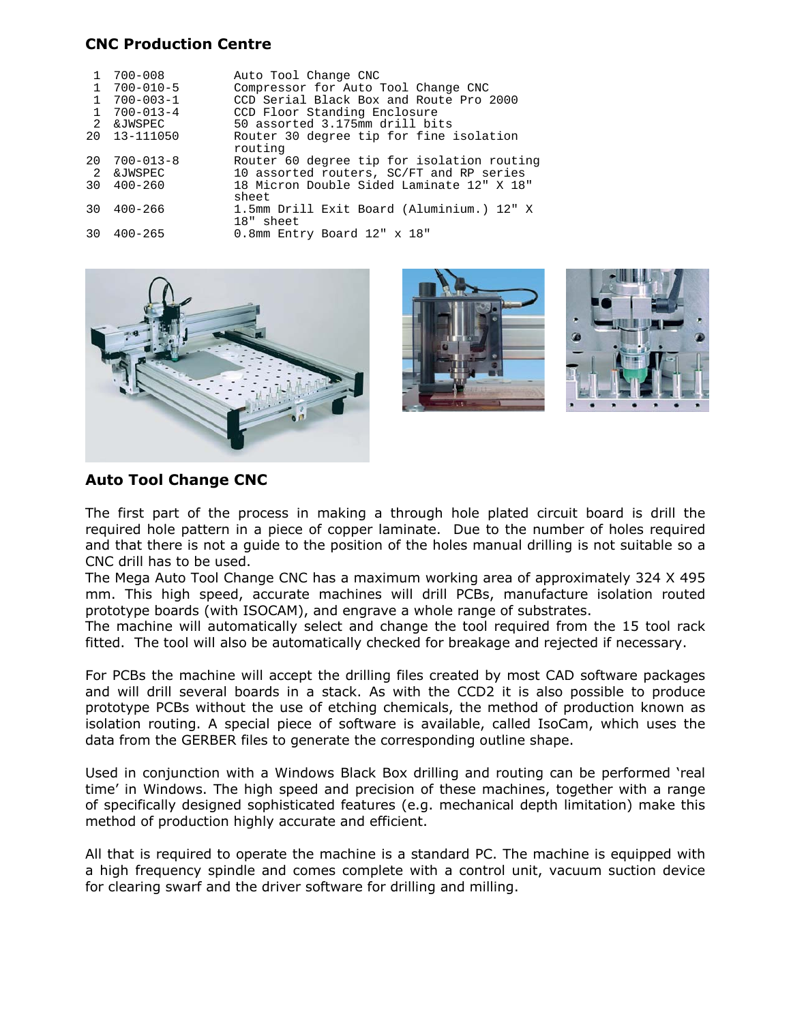## **CNC Production Centre**

|                | $700 - 008$     | Auto Tool Change CNC                       |
|----------------|-----------------|--------------------------------------------|
|                | 700-010-5       | Compressor for Auto Tool Change CNC        |
|                | $700 - 003 - 1$ | CCD Serial Black Box and Route Pro 2000    |
|                | $700 - 013 - 4$ | CCD Floor Standing Enclosure               |
| 2              | &JWSPEC         | 50 assorted 3.175mm drill bits             |
|                | 20 13-111050    | Router 30 degree tip for fine isolation    |
|                |                 | routing                                    |
| 20             | 700-013-8       | Router 60 degree tip for isolation routing |
| $\overline{2}$ | &JWSPEC         | 10 assorted routers, SC/FT and RP series   |
| 30             | $400 - 260$     | 18 Micron Double Sided Laminate 12" X 18"  |
|                |                 | sheet                                      |
| 30             | $400 - 266$     | 1.5mm Drill Exit Board (Aluminium.) 12" X  |
|                |                 | 18" sheet                                  |
| 30             | $400 - 265$     | 0.8mm Entry Board 12" x 18"                |





# **Auto Tool Change CNC**

The first part of the process in making a through hole plated circuit board is drill the required hole pattern in a piece of copper laminate. Due to the number of holes required and that there is not a guide to the position of the holes manual drilling is not suitable so a CNC drill has to be used.

The Mega Auto Tool Change CNC has a maximum working area of approximately 324 X 495 mm. This high speed, accurate machines will drill PCBs, manufacture isolation routed prototype boards (with ISOCAM), and engrave a whole range of substrates.

The machine will automatically select and change the tool required from the 15 tool rack fitted. The tool will also be automatically checked for breakage and rejected if necessary.

For PCBs the machine will accept the drilling files created by most CAD software packages and will drill several boards in a stack. As with the CCD2 it is also possible to produce prototype PCBs without the use of etching chemicals, the method of production known as isolation routing. A special piece of software is available, called IsoCam, which uses the data from the GERBER files to generate the corresponding outline shape.

Used in conjunction with a Windows Black Box drilling and routing can be performed 'real time' in Windows. The high speed and precision of these machines, together with a range of specifically designed sophisticated features (e.g. mechanical depth limitation) make this method of production highly accurate and efficient.

All that is required to operate the machine is a standard PC. The machine is equipped with a high frequency spindle and comes complete with a control unit, vacuum suction device for clearing swarf and the driver software for drilling and milling.